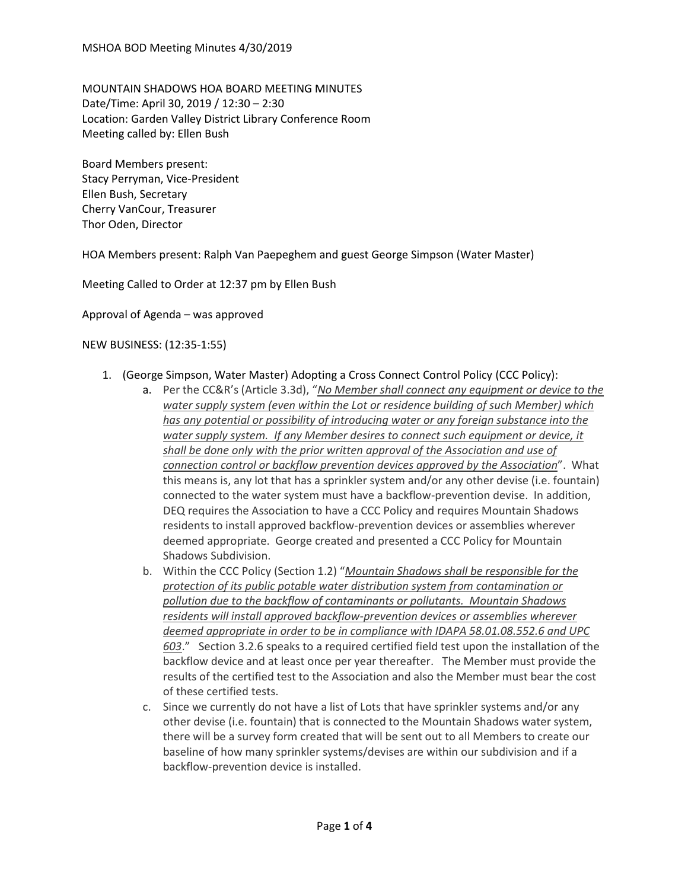MOUNTAIN SHADOWS HOA BOARD MEETING MINUTES Date/Time: April 30, 2019 / 12:30 – 2:30 Location: Garden Valley District Library Conference Room Meeting called by: Ellen Bush

Board Members present: Stacy Perryman, Vice-President Ellen Bush, Secretary Cherry VanCour, Treasurer Thor Oden, Director

HOA Members present: Ralph Van Paepeghem and guest George Simpson (Water Master)

Meeting Called to Order at 12:37 pm by Ellen Bush

Approval of Agenda – was approved

## NEW BUSINESS: (12:35-1:55)

- 1. (George Simpson, Water Master) Adopting a Cross Connect Control Policy (CCC Policy):
	- a. Per the CC&R's (Article 3.3d), "*No Member shall connect any equipment or device to the water supply system (even within the Lot or residence building of such Member) which has any potential or possibility of introducing water or any foreign substance into the water supply system. If any Member desires to connect such equipment or device, it shall be done only with the prior written approval of the Association and use of connection control or backflow prevention devices approved by the Association*". What this means is, any lot that has a sprinkler system and/or any other devise (i.e. fountain) connected to the water system must have a backflow-prevention devise. In addition, DEQ requires the Association to have a CCC Policy and requires Mountain Shadows residents to install approved backflow-prevention devices or assemblies wherever deemed appropriate. George created and presented a CCC Policy for Mountain Shadows Subdivision.
	- b. Within the CCC Policy (Section 1.2) "*Mountain Shadows shall be responsible for the protection of its public potable water distribution system from contamination or pollution due to the backflow of contaminants or pollutants. Mountain Shadows residents will install approved backflow-prevention devices or assemblies wherever deemed appropriate in order to be in compliance with IDAPA 58.01.08.552.6 and UPC 603*." Section 3.2.6 speaks to a required certified field test upon the installation of the backflow device and at least once per year thereafter. The Member must provide the results of the certified test to the Association and also the Member must bear the cost of these certified tests.
	- c. Since we currently do not have a list of Lots that have sprinkler systems and/or any other devise (i.e. fountain) that is connected to the Mountain Shadows water system, there will be a survey form created that will be sent out to all Members to create our baseline of how many sprinkler systems/devises are within our subdivision and if a backflow-prevention device is installed.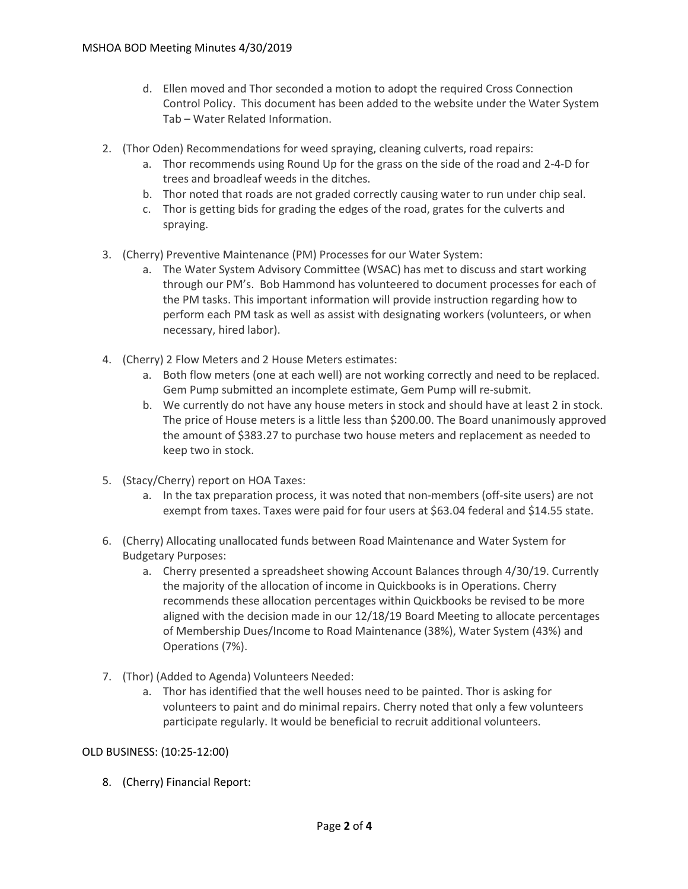- d. Ellen moved and Thor seconded a motion to adopt the required Cross Connection Control Policy. This document has been added to the website under the Water System Tab – Water Related Information.
- 2. (Thor Oden) Recommendations for weed spraying, cleaning culverts, road repairs:
	- a. Thor recommends using Round Up for the grass on the side of the road and 2-4-D for trees and broadleaf weeds in the ditches.
	- b. Thor noted that roads are not graded correctly causing water to run under chip seal.
	- c. Thor is getting bids for grading the edges of the road, grates for the culverts and spraying.
- 3. (Cherry) Preventive Maintenance (PM) Processes for our Water System:
	- a. The Water System Advisory Committee (WSAC) has met to discuss and start working through our PM's. Bob Hammond has volunteered to document processes for each of the PM tasks. This important information will provide instruction regarding how to perform each PM task as well as assist with designating workers (volunteers, or when necessary, hired labor).
- 4. (Cherry) 2 Flow Meters and 2 House Meters estimates:
	- a. Both flow meters (one at each well) are not working correctly and need to be replaced. Gem Pump submitted an incomplete estimate, Gem Pump will re-submit.
	- b. We currently do not have any house meters in stock and should have at least 2 in stock. The price of House meters is a little less than \$200.00. The Board unanimously approved the amount of \$383.27 to purchase two house meters and replacement as needed to keep two in stock.
- 5. (Stacy/Cherry) report on HOA Taxes:
	- a. In the tax preparation process, it was noted that non-members (off-site users) are not exempt from taxes. Taxes were paid for four users at \$63.04 federal and \$14.55 state.
- 6. (Cherry) Allocating unallocated funds between Road Maintenance and Water System for Budgetary Purposes:
	- a. Cherry presented a spreadsheet showing Account Balances through 4/30/19. Currently the majority of the allocation of income in Quickbooks is in Operations. Cherry recommends these allocation percentages within Quickbooks be revised to be more aligned with the decision made in our 12/18/19 Board Meeting to allocate percentages of Membership Dues/Income to Road Maintenance (38%), Water System (43%) and Operations (7%).
- 7. (Thor) (Added to Agenda) Volunteers Needed:
	- a. Thor has identified that the well houses need to be painted. Thor is asking for volunteers to paint and do minimal repairs. Cherry noted that only a few volunteers participate regularly. It would be beneficial to recruit additional volunteers.

## OLD BUSINESS: (10:25-12:00)

8. (Cherry) Financial Report: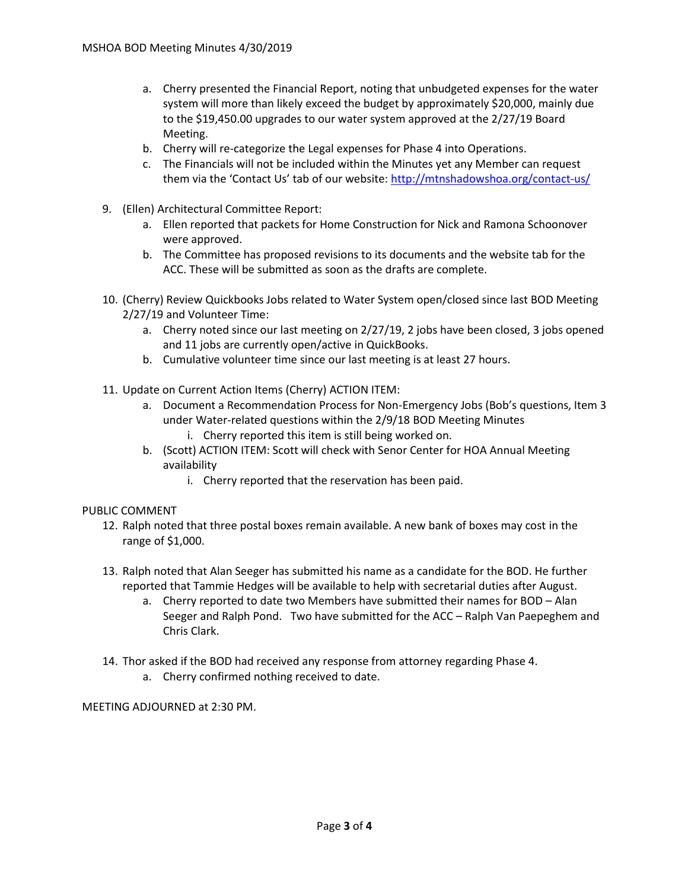- a. Cherry presented the Financial Report, noting that unbudgeted expenses for the water system will more than likely exceed the budget by approximately \$20,000, mainly due to the \$19,450.00 upgrades to our water system approved at the 2/27/19 Board Meeting.
- b. Cherry will re-categorize the Legal expenses for Phase 4 into Operations.
- c. The Financials will not be included within the Minutes yet any Member can request them via the 'Contact Us' tab of our website: <http://mtnshadowshoa.org/contact-us/>
- 9. (Ellen) Architectural Committee Report:
	- a. Ellen reported that packets for Home Construction for Nick and Ramona Schoonover were approved.
	- b. The Committee has proposed revisions to its documents and the website tab for the ACC. These will be submitted as soon as the drafts are complete.
- 10. (Cherry) Review Quickbooks Jobs related to Water System open/closed since last BOD Meeting 2/27/19 and Volunteer Time:
	- a. Cherry noted since our last meeting on 2/27/19, 2 jobs have been closed, 3 jobs opened and 11 jobs are currently open/active in QuickBooks.
	- b. Cumulative volunteer time since our last meeting is at least 27 hours.
- 11. Update on Current Action Items (Cherry) ACTION ITEM:
	- a. Document a Recommendation Process for Non-Emergency Jobs (Bob's questions, Item 3 under Water-related questions within the 2/9/18 BOD Meeting Minutes
		- i. Cherry reported this item is still being worked on.
	- b. (Scott) ACTION ITEM: Scott will check with Senor Center for HOA Annual Meeting availability
		- i. Cherry reported that the reservation has been paid.

## PUBLIC COMMENT

- 12. Ralph noted that three postal boxes remain available. A new bank of boxes may cost in the range of \$1,000.
- 13. Ralph noted that Alan Seeger has submitted his name as a candidate for the BOD. He further reported that Tammie Hedges will be available to help with secretarial duties after August.
	- a. Cherry reported to date two Members have submitted their names for BOD Alan Seeger and Ralph Pond. Two have submitted for the ACC – Ralph Van Paepeghem and Chris Clark.
- 14. Thor asked if the BOD had received any response from attorney regarding Phase 4.
	- a. Cherry confirmed nothing received to date.

MEETING ADJOURNED at 2:30 PM.